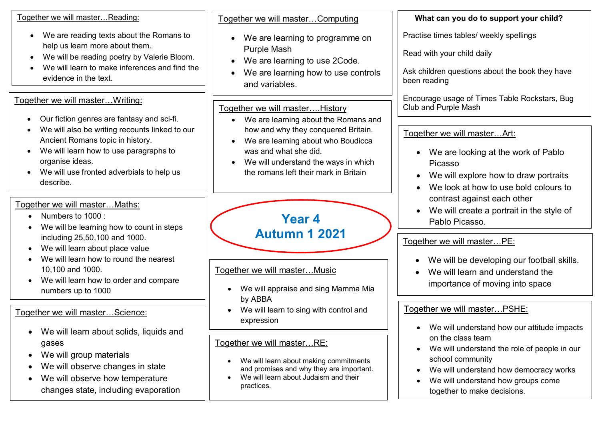| Together we will master Reading:                                                                                                                                                                                                                        | Together we will masterComputing                                                                                                                                                                                            | What can you do to support your child?                                                                                                                                                                            |
|---------------------------------------------------------------------------------------------------------------------------------------------------------------------------------------------------------------------------------------------------------|-----------------------------------------------------------------------------------------------------------------------------------------------------------------------------------------------------------------------------|-------------------------------------------------------------------------------------------------------------------------------------------------------------------------------------------------------------------|
| We are reading texts about the Romans to<br>$\bullet$<br>help us learn more about them.<br>We will be reading poetry by Valerie Bloom.<br>$\bullet$<br>We will learn to make inferences and find the<br>evidence in the text.                           | We are learning to programme on<br><b>Purple Mash</b><br>We are learning to use 2Code.<br>$\bullet$<br>We are learning how to use controls<br>and variables.                                                                | Practise times tables/ weekly spellings<br>Read with your child daily<br>Ask children questions about the book they have<br>been reading                                                                          |
| Together we will master Writing:                                                                                                                                                                                                                        | Together we will master History                                                                                                                                                                                             | Encourage usage of Times Table Rockstars, Bug<br>Club and Purple Mash                                                                                                                                             |
| Our fiction genres are fantasy and sci-fi.<br>We will also be writing recounts linked to our<br>Ancient Romans topic in history.<br>We will learn how to use paragraphs to<br>organise ideas.<br>We will use fronted adverbials to help us<br>describe. | We are learning about the Romans and<br>how and why they conquered Britain.<br>We are learning about who Boudicca<br>was and what she did.<br>We will understand the ways in which<br>the romans left their mark in Britain | Together we will master Art:<br>We are looking at the work of Pablo<br>Picasso<br>We will explore how to draw portraits<br>We look at how to use bold colours to                                                  |
| Together we will master Maths:<br>Numbers to 1000 :<br>$\bullet$<br>We will be learning how to count in steps<br>٠                                                                                                                                      | <b>Year 4</b>                                                                                                                                                                                                               | contrast against each other<br>We will create a portrait in the style of<br>$\bullet$<br>Pablo Picasso.                                                                                                           |
| including 25,50,100 and 1000.<br>We will learn about place value<br>$\bullet$                                                                                                                                                                           | <b>Autumn 1 2021</b>                                                                                                                                                                                                        | Together we will masterPE:                                                                                                                                                                                        |
| We will learn how to round the nearest<br>10,100 and 1000.<br>We will learn how to order and compare<br>numbers up to 1000                                                                                                                              | Together we will masterMusic<br>We will appraise and sing Mamma Mia<br>$\bullet$<br>by ABBA                                                                                                                                 | We will be developing our football skills.<br>We will learn and understand the<br>importance of moving into space                                                                                                 |
| Together we will masterScience:<br>We will learn about solids, liquids and                                                                                                                                                                              | We will learn to sing with control and<br>expression                                                                                                                                                                        | Together we will master PSHE:<br>We will understand how our attitude impacts                                                                                                                                      |
| gases<br>We will group materials<br>$\bullet$<br>We will observe changes in state<br>We will observe how temperature<br>changes state, including evaporation                                                                                            | Together we will masterRE:<br>We will learn about making commitments<br>and promises and why they are important.<br>We will learn about Judaism and their<br>practices.                                                     | on the class team<br>We will understand the role of people in our<br>school community<br>We will understand how democracy works<br>We will understand how groups come<br>$\bullet$<br>together to make decisions. |